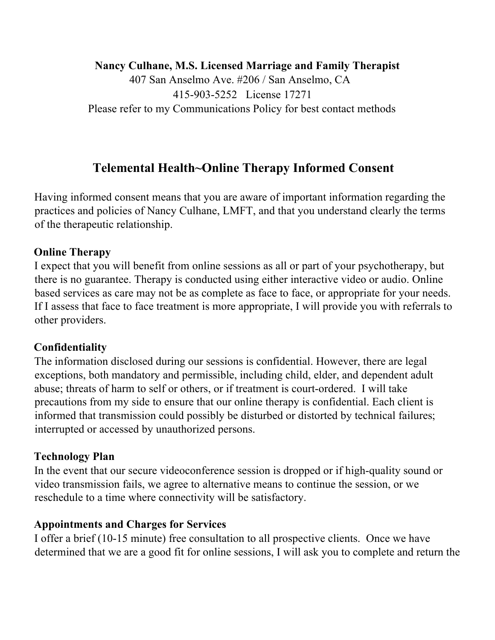#### **Nancy Culhane, M.S. Licensed Marriage and Family Therapist**

407 San Anselmo Ave. #206 / San Anselmo, CA 415-903-5252 License 17271 Please refer to my Communications Policy for best contact methods

# **Telemental Health~Online Therapy Informed Consent**

Having informed consent means that you are aware of important information regarding the practices and policies of Nancy Culhane, LMFT, and that you understand clearly the terms of the therapeutic relationship.

## **Online Therapy**

I expect that you will benefit from online sessions as all or part of your psychotherapy, but there is no guarantee. Therapy is conducted using either interactive video or audio. Online based services as care may not be as complete as face to face, or appropriate for your needs. If I assess that face to face treatment is more appropriate, I will provide you with referrals to other providers.

### **Confidentiality**

The information disclosed during our sessions is confidential. However, there are legal exceptions, both mandatory and permissible, including child, elder, and dependent adult abuse; threats of harm to self or others, or if treatment is court-ordered. I will take precautions from my side to ensure that our online therapy is confidential. Each client is informed that transmission could possibly be disturbed or distorted by technical failures; interrupted or accessed by unauthorized persons.

### **Technology Plan**

In the event that our secure videoconference session is dropped or if high-quality sound or video transmission fails, we agree to alternative means to continue the session, or we reschedule to a time where connectivity will be satisfactory.

### **Appointments and Charges for Services**

I offer a brief (10-15 minute) free consultation to all prospective clients. Once we have determined that we are a good fit for online sessions, I will ask you to complete and return the